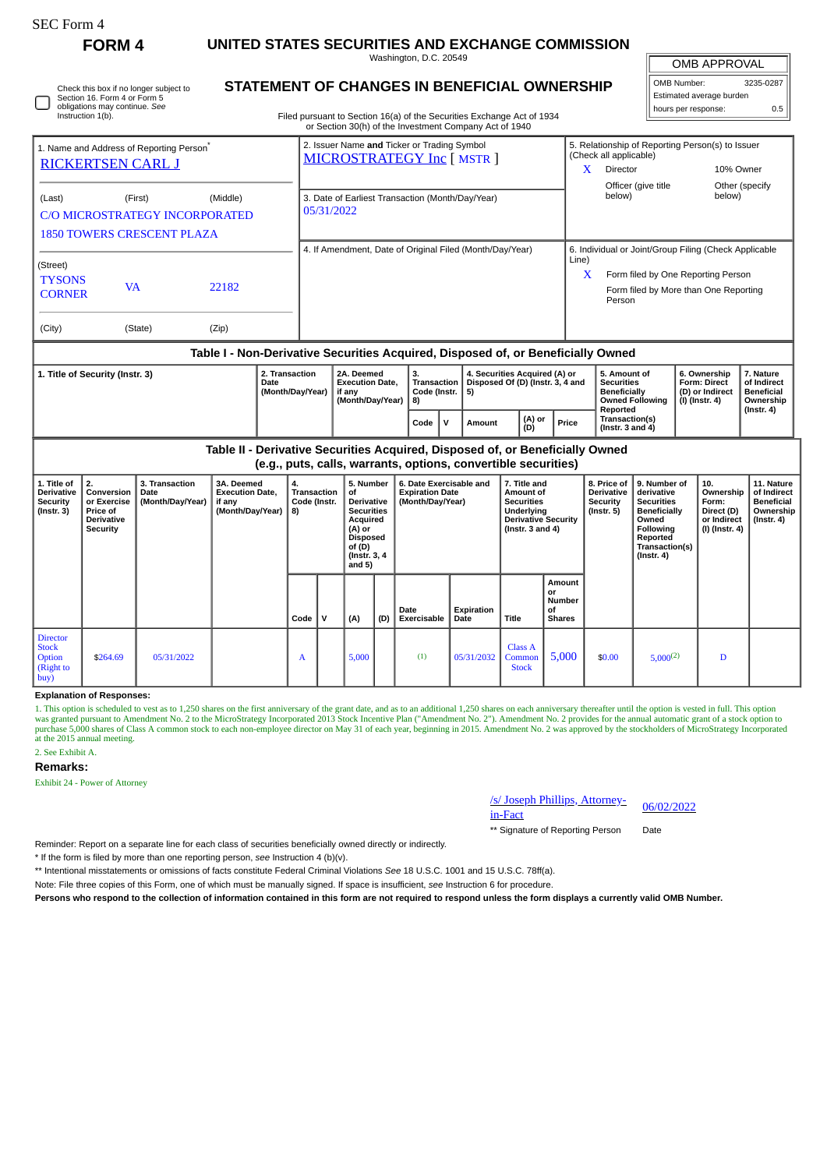| rtt, Form |  |
|-----------|--|
|-----------|--|

£

## **FORM 4 UNITED STATES SECURITIES AND EXCHANGE COMMISSION**

Washington, D.C. 20549 **STATEMENT OF CHANGES IN BENEFICIAL OWNERSHIP**

OMB APPROVAL

| OMB Number:              | 3235-0287 |  |  |  |  |  |  |  |  |  |
|--------------------------|-----------|--|--|--|--|--|--|--|--|--|
| Estimated average burden |           |  |  |  |  |  |  |  |  |  |
| hours per response:      | 0.5       |  |  |  |  |  |  |  |  |  |

| Instruction 1(b).                          | Check this box if no longer subject to<br>Section 16. Form 4 or Form 5<br>obligations may continue. See |                                                   | STATEMENT OF CHANGES IN BENEFICIAL OWNERSHIP<br>Filed pursuant to Section 16(a) of the Securities Exchange Act of 1934<br>or Section 30(h) of the Investment Company Act of 1940 |                                                                       | Estimated average burden<br>hours per response:                                                                                      | 0.5 |
|--------------------------------------------|---------------------------------------------------------------------------------------------------------|---------------------------------------------------|----------------------------------------------------------------------------------------------------------------------------------------------------------------------------------|-----------------------------------------------------------------------|--------------------------------------------------------------------------------------------------------------------------------------|-----|
|                                            | 1. Name and Address of Reporting Person <sup>®</sup><br><b>RICKERTSEN CARL J</b>                        |                                                   | 2. Issuer Name and Ticker or Trading Symbol<br>MICROSTRATEGY Inc [ MSTR ]                                                                                                        | (Check all applicable)<br>X<br><b>Director</b><br>Officer (give title | 5. Relationship of Reporting Person(s) to Issuer<br>10% Owner<br>Other (specify                                                      |     |
| (Last)                                     | (First)<br><b>1850 TOWERS CRESCENT PLAZA</b>                                                            | (Middle)<br><b>C/O MICROSTRATEGY INCORPORATED</b> | 3. Date of Earliest Transaction (Month/Day/Year)<br>05/31/2022                                                                                                                   | below)                                                                | below)                                                                                                                               |     |
| (Street)<br><b>TYSONS</b><br><b>CORNER</b> | <b>VA</b>                                                                                               | 22182                                             | 4. If Amendment, Date of Original Filed (Month/Day/Year)                                                                                                                         | Line)<br>X<br>Person                                                  | 6. Individual or Joint/Group Filing (Check Applicable<br>Form filed by One Reporting Person<br>Form filed by More than One Reporting |     |
| (City)                                     | (State)                                                                                                 | (Zip)                                             |                                                                                                                                                                                  |                                                                       |                                                                                                                                      |     |
|                                            |                                                                                                         |                                                   | Toble L. Nen Derivative Conviting Acquired, Dionesed of ar Denoficially Quread                                                                                                   |                                                                       |                                                                                                                                      |     |

#### **Table I - Non-Derivative Securities Acquired, Disposed of, or Beneficially Owned**

| 1. Title of Security (Instr. 3) | 2. Transaction<br>Date<br>(Month/Dav/Year) | 2A. Deemed<br><b>Execution Date,</b><br>if anv<br>(Month/Day/Year) | З.<br>Transaction<br>Code (Instr. 15)<br>I 8) |       | 4. Securities Acquired (A) or<br>Disposed Of (D) (Instr. 3, 4 and |               |       | 5. Amount of<br>Securities<br><b>Beneficially</b><br><b>Owned Following</b> | 6. Ownership<br>  Form: Direct<br>l (D) or Indirect<br>(I) (Instr. 4) | <b>Nature</b><br>of Indirect<br><b>Beneficial</b><br>Ownership |
|---------------------------------|--------------------------------------------|--------------------------------------------------------------------|-----------------------------------------------|-------|-------------------------------------------------------------------|---------------|-------|-----------------------------------------------------------------------------|-----------------------------------------------------------------------|----------------------------------------------------------------|
|                                 |                                            |                                                                    | Code                                          | - I V | Amount                                                            | (A) or<br>(D) | Price | Reported<br><b>Transaction(s)</b><br>( $Instr. 3 and 4$ )                   |                                                                       | $($ lnstr. 4 $)$                                               |

**Table II - Derivative Securities Acquired, Disposed of, or Beneficially Owned (e.g., puts, calls, warrants, options, convertible securities)**

| 1. Title of<br>Derivative<br><b>Security</b><br>$($ lnstr. 3 $)$ | 2.<br>Conversion<br>or Exercise<br><b>Price of</b><br>Derivative<br>Security | 3. Transaction<br>Date<br>(Month/Day/Year) | 3A. Deemed<br><b>Execution Date,</b><br>if any<br>(Month/Day/Year)   8) | 4.<br><b>Transaction</b><br>Code (Instr. |          | 5. Number<br>Οf<br>Derivative<br><b>Securities</b><br>Acquired<br>(A) or<br>Disposed<br>of (D)<br>(Instr. 3, 4)<br>and 5) |     | 6. Date Exercisable and<br><b>Expiration Date</b><br>(Month/Day/Year) |                    | 7. Title and<br>Amount of<br><b>Securities</b><br>Underlying<br><b>Derivative Security</b><br>(Instr. $3$ and $4$ ) |                                                      | 8. Price of<br><b>Derivative</b><br>Security<br>$($ lnstr. 5 $)$ | 9. Number of<br>derivative<br><b>Securities</b><br><b>Beneficially</b><br>Owned<br>Following<br>Reported<br>Transaction(s)<br>$($ lnstr. 4 $)$ | 10.<br>Ownership<br>Form:<br>Direct (D)<br>or Indirect<br>(I) (Instr. 4) | 11. Nature<br>of Indirect<br><b>Beneficial</b><br>Ownership<br>(Instr. 4) |
|------------------------------------------------------------------|------------------------------------------------------------------------------|--------------------------------------------|-------------------------------------------------------------------------|------------------------------------------|----------|---------------------------------------------------------------------------------------------------------------------------|-----|-----------------------------------------------------------------------|--------------------|---------------------------------------------------------------------------------------------------------------------|------------------------------------------------------|------------------------------------------------------------------|------------------------------------------------------------------------------------------------------------------------------------------------|--------------------------------------------------------------------------|---------------------------------------------------------------------------|
|                                                                  |                                                                              |                                            |                                                                         | Code                                     | <b>V</b> | (A)                                                                                                                       | (D) | Date<br>Exercisable                                                   | Expiration<br>Date | Title                                                                                                               | Amount<br>or<br><b>Number</b><br>οf<br><b>Shares</b> |                                                                  |                                                                                                                                                |                                                                          |                                                                           |
| <b>Director</b><br><b>Stock</b><br>Option<br>(Right to<br>buy)   | \$264.69                                                                     | 05/31/2022                                 |                                                                         | $\mathbf{A}$                             |          | 5,000                                                                                                                     |     | (1)                                                                   | 05/31/2032         | Class A<br>Common<br><b>Stock</b>                                                                                   | 5,000                                                | \$0.00                                                           | $5,000^{(2)}$                                                                                                                                  | D                                                                        |                                                                           |

#### **Explanation of Responses:**

1. This option is scheduled to vest as to 1,250 shares on the first anniversary of the grant date, and as to an additional 1,250 shares on each anniversary thereafter until the option is vested in full. This option to<br>was at the 2015 annual meeting.

### 2. See Exhibit A.

#### **Remarks:**

Exhibit 24 - Power of Attorney

# /s/ Joseph Phillips, Attorney-<br>in-Fact

\*\* Signature of Reporting Person Date

Reminder: Report on a separate line for each class of securities beneficially owned directly or indirectly.

\* If the form is filed by more than one reporting person, *see* Instruction 4 (b)(v).

\*\* Intentional misstatements or omissions of facts constitute Federal Criminal Violations *See* 18 U.S.C. 1001 and 15 U.S.C. 78ff(a).

Note: File three copies of this Form, one of which must be manually signed. If space is insufficient, *see* Instruction 6 for procedure.

**Persons who respond to the collection of information contained in this form are not required to respond unless the form displays a currently valid OMB Number.**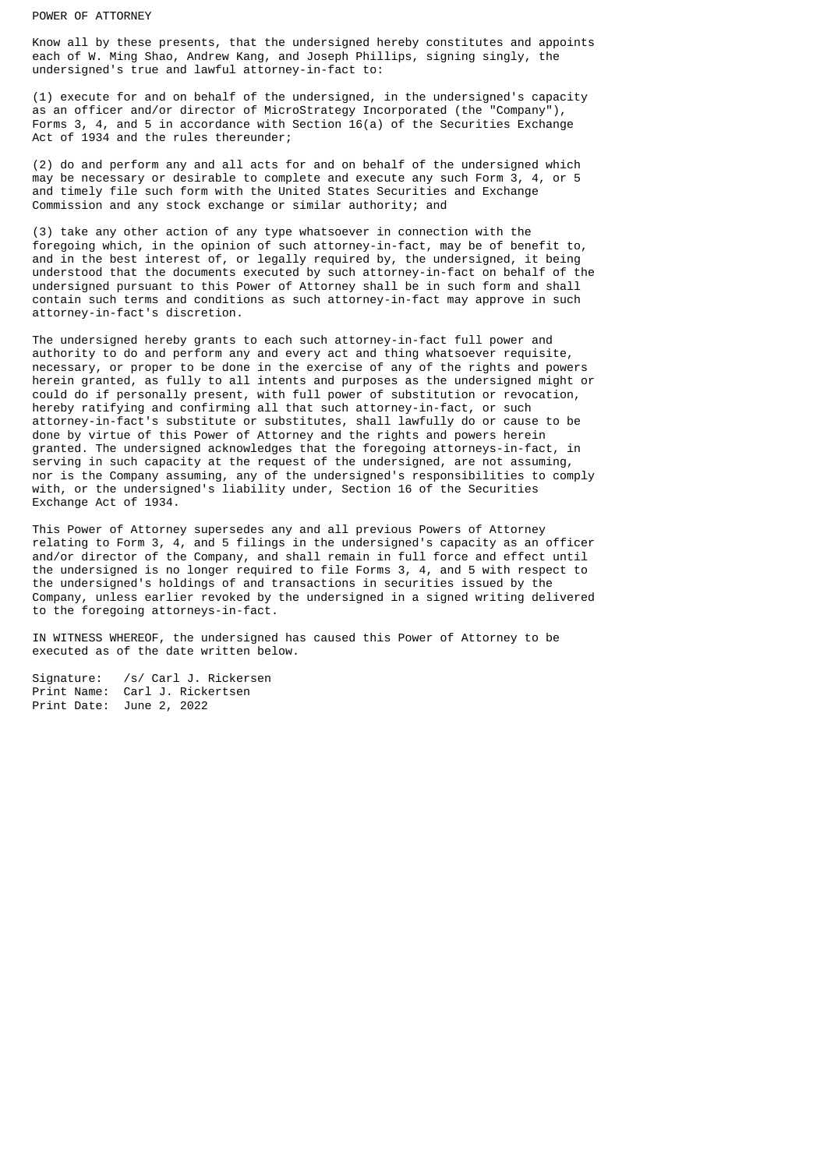#### POWER OF ATTORNEY

Know all by these presents, that the undersigned hereby constitutes and appoints each of W. Ming Shao, Andrew Kang, and Joseph Phillips, signing singly, the undersigned's true and lawful attorney-in-fact to:

(1) execute for and on behalf of the undersigned, in the undersigned's capacity as an officer and/or director of MicroStrategy Incorporated (the "Company"), Forms 3, 4, and 5 in accordance with Section 16(a) of the Securities Exchange Act of 1934 and the rules thereunder;

(2) do and perform any and all acts for and on behalf of the undersigned which may be necessary or desirable to complete and execute any such Form 3, 4, or 5 and timely file such form with the United States Securities and Exchange Commission and any stock exchange or similar authority; and

(3) take any other action of any type whatsoever in connection with the foregoing which, in the opinion of such attorney-in-fact, may be of benefit to, and in the best interest of, or legally required by, the undersigned, it being understood that the documents executed by such attorney-in-fact on behalf of the undersigned pursuant to this Power of Attorney shall be in such form and shall contain such terms and conditions as such attorney-in-fact may approve in such attorney-in-fact's discretion.

The undersigned hereby grants to each such attorney-in-fact full power and authority to do and perform any and every act and thing whatsoever requisite, necessary, or proper to be done in the exercise of any of the rights and powers herein granted, as fully to all intents and purposes as the undersigned might or could do if personally present, with full power of substitution or revocation, hereby ratifying and confirming all that such attorney-in-fact, or such attorney-in-fact's substitute or substitutes, shall lawfully do or cause to be done by virtue of this Power of Attorney and the rights and powers herein granted. The undersigned acknowledges that the foregoing attorneys-in-fact, in serving in such capacity at the request of the undersigned, are not assuming, nor is the Company assuming, any of the undersigned's responsibilities to comply with, or the undersigned's liability under, Section 16 of the Securities Exchange Act of 1934.

This Power of Attorney supersedes any and all previous Powers of Attorney relating to Form 3, 4, and 5 filings in the undersigned's capacity as an officer and/or director of the Company, and shall remain in full force and effect until the undersigned is no longer required to file Forms 3, 4, and 5 with respect to the undersigned's holdings of and transactions in securities issued by the Company, unless earlier revoked by the undersigned in a signed writing delivered to the foregoing attorneys-in-fact.

IN WITNESS WHEREOF, the undersigned has caused this Power of Attorney to be executed as of the date written below.

Signature: /s/ Carl J. Rickersen Print Name: Carl J. Rickertsen Print Date: June 2, 2022